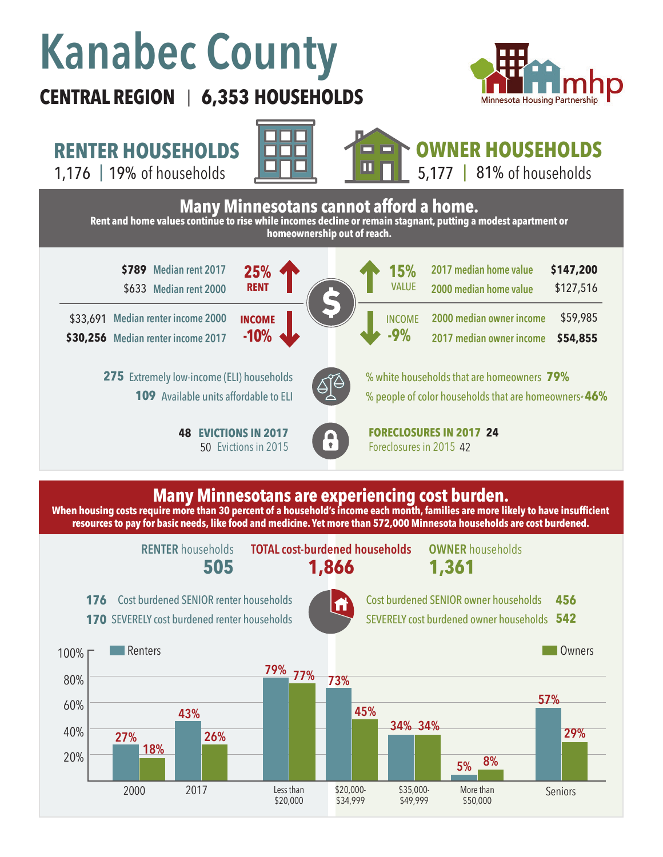# **Kanabec County**

## **CENTRAL REGION 6,353 HOUSEHOLDS**  |



**RENTER HOUSEHOLDS**







### **Many Minnesotans are experiencing cost burden.**

**When housing costs require more than 30 percent of a household's income each month, families are more likely to have insufficient resources to pay for basic needs, like food and medicine. Yet more than 572,000 Minnesota households are cost burdened.**